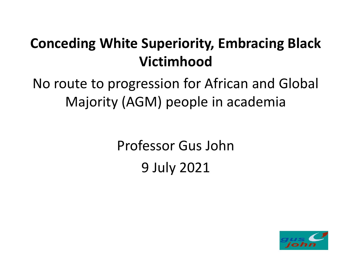#### **Conceding White Superiority, Embracing Black Victimhood**

No route to progression for African and Global Majority (AGM) people in academia

> Professor Gus John 9 July 2021

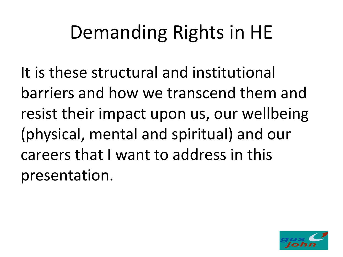It is these structural and institutional barriers and how we transcend them and resist their impact upon us, our wellbeing (physical, mental and spiritual) and our careers that I want to address in this presentation.

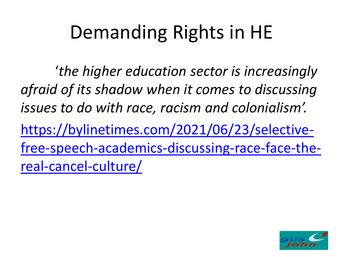'*the higher education sector is increasingly afraid of its shadow when it comes to discussing issues to do with race, racism and colonialism'.* https://bylinetimes.com/2021/06/23/selective[free-speech-academics-discussing-race-face-the](https://bylinetimes.com/2021/06/23/selective-free-speech-academics-discussing-race-face-the-real-cancel-culture/)real-cancel-culture/

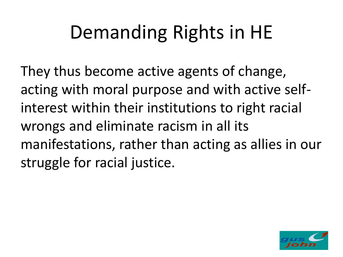They thus become active agents of change, acting with moral purpose and with active selfinterest within their institutions to right racial wrongs and eliminate racism in all its manifestations, rather than acting as allies in our struggle for racial justice.

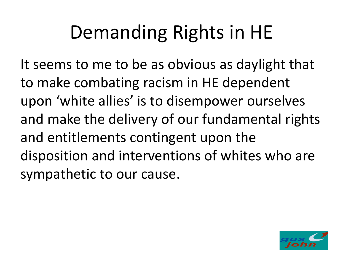It seems to me to be as obvious as daylight that to make combating racism in HE dependent upon 'white allies' is to disempower ourselves and make the delivery of our fundamental rights and entitlements contingent upon the disposition and interventions of whites who are sympathetic to our cause.

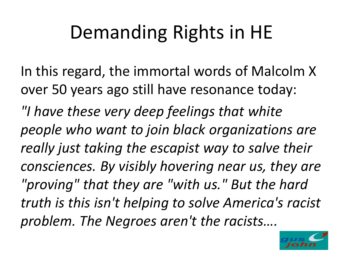In this regard, the immortal words of Malcolm X over 50 years ago still have resonance today: *"I have these very deep feelings that white people who want to join black organizations are really just taking the escapist way to salve their consciences. By visibly hovering near us, they are "proving" that they are "with us." But the hard truth is this isn't helping to solve America's racist problem. The Negroes aren't the racists….* 

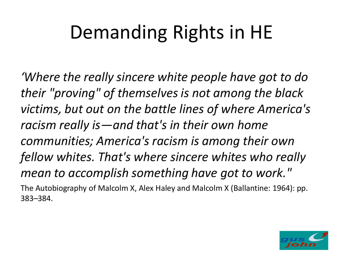*'Where the really sincere white people have got to do their "proving" of themselves is not among the black victims, but out on the battle lines of where America's racism really is—and that's in their own home communities; America's racism is among their own fellow whites. That's where sincere whites who really mean to accomplish something have got to work."* The Autobiography of Malcolm X, Alex Haley and Malcolm X (Ballantine: 1964): pp. 383–384.

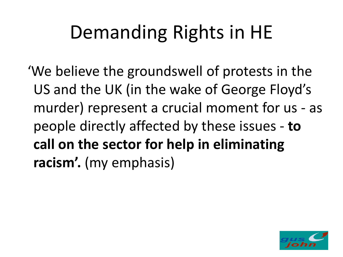'We believe the groundswell of protests in the US and the UK (in the wake of George Floyd's murder) represent a crucial moment for us - as people directly affected by these issues - **to call on the sector for help in eliminating racism'.** (my emphasis)

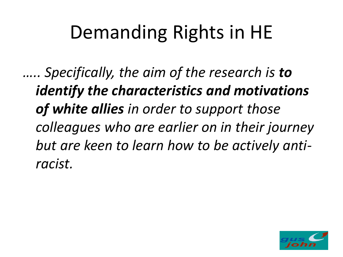*….. Specifically, the aim of the research is to identify the characteristics and motivations of white allies in order to support those colleagues who are earlier on in their journey but are keen to learn how to be actively antiracist.*

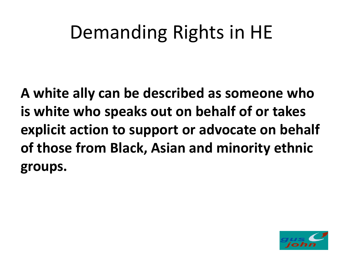**A white ally can be described as someone who is white who speaks out on behalf of or takes explicit action to support or advocate on behalf of those from Black, Asian and minority ethnic groups.**

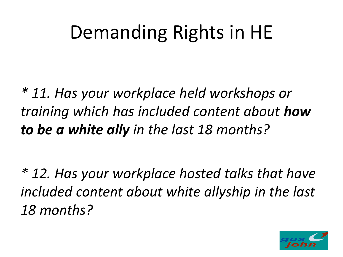*\* 11. Has your workplace held workshops or training which has included content about how to be a white ally in the last 18 months?*

*\* 12. Has your workplace hosted talks that have included content about white allyship in the last 18 months?* 

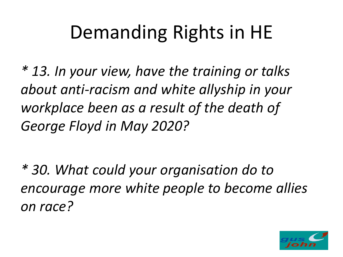*\* 13. In your view, have the training or talks about anti-racism and white allyship in your workplace been as a result of the death of George Floyd in May 2020?*

*\* 30. What could your organisation do to encourage more white people to become allies on race?*

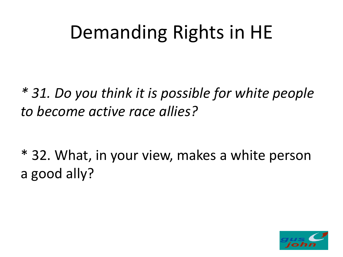*\* 31. Do you think it is possible for white people to become active race allies?*

\* 32. What, in your view, makes a white person a good ally?

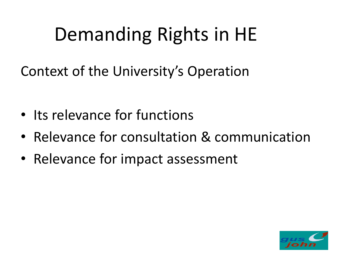Context of the University's Operation

- Its relevance for functions
- Relevance for consultation & communication
- Relevance for impact assessment

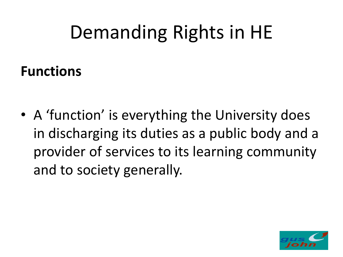#### **Functions**

• A 'function' is everything the University does in discharging its duties as a public body and a provider of services to its learning community and to society generally.

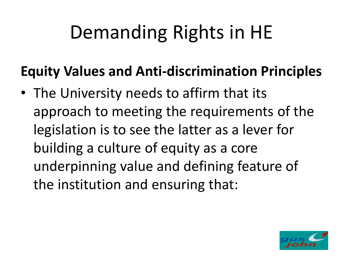#### **Equity Values and Anti-discrimination Principles**

• The University needs to affirm that its approach to meeting the requirements of the legislation is to see the latter as a lever for building a culture of equity as a core underpinning value and defining feature of the institution and ensuring that:

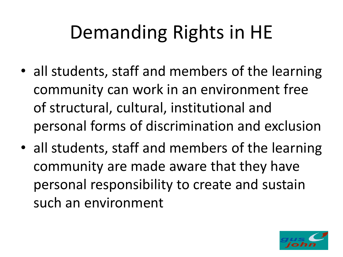- all students, staff and members of the learning community can work in an environment free of structural, cultural, institutional and personal forms of discrimination and exclusion
- all students, staff and members of the learning community are made aware that they have personal responsibility to create and sustain such an environment